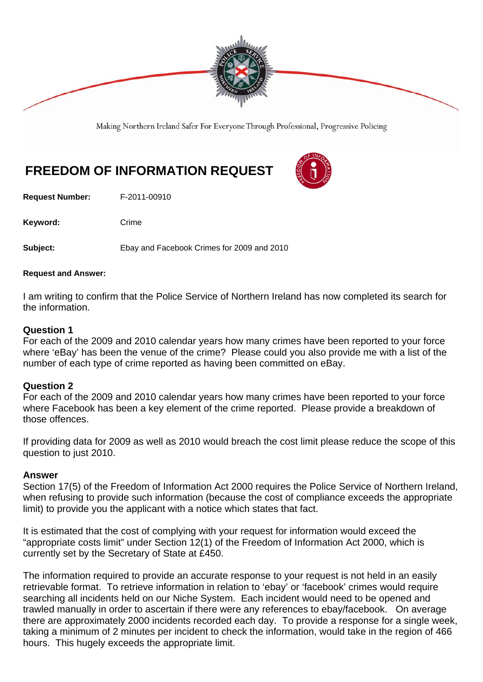

Making Northern Ireland Safer For Everyone Through Professional, Progressive Policing

# **FREEDOM OF INFORMATION REQUEST**

**Request Number:** F-2011-00910

Keyword: Crime

**Subject:** Ebay and Facebook Crimes for 2009 and 2010

#### **Request and Answer:**

I am writing to confirm that the Police Service of Northern Ireland has now completed its search for the information.

### **Question 1**

For each of the 2009 and 2010 calendar years how many crimes have been reported to your force where 'eBay' has been the venue of the crime? Please could you also provide me with a list of the number of each type of crime reported as having been committed on eBay.

### **Question 2**

For each of the 2009 and 2010 calendar years how many crimes have been reported to your force where Facebook has been a key element of the crime reported. Please provide a breakdown of those offences.

If providing data for 2009 as well as 2010 would breach the cost limit please reduce the scope of this question to just 2010.

## **Answer**

Section 17(5) of the Freedom of Information Act 2000 requires the Police Service of Northern Ireland, when refusing to provide such information (because the cost of compliance exceeds the appropriate limit) to provide you the applicant with a notice which states that fact.

It is estimated that the cost of complying with your request for information would exceed the "appropriate costs limit" under Section 12(1) of the Freedom of Information Act 2000, which is currently set by the Secretary of State at £450.

The information required to provide an accurate response to your request is not held in an easily retrievable format. To retrieve information in relation to 'ebay' or 'facebook' crimes would require searching all incidents held on our Niche System. Each incident would need to be opened and trawled manually in order to ascertain if there were any references to ebay/facebook. On average there are approximately 2000 incidents recorded each day. To provide a response for a single week, taking a minimum of 2 minutes per incident to check the information, would take in the region of 466 hours. This hugely exceeds the appropriate limit.